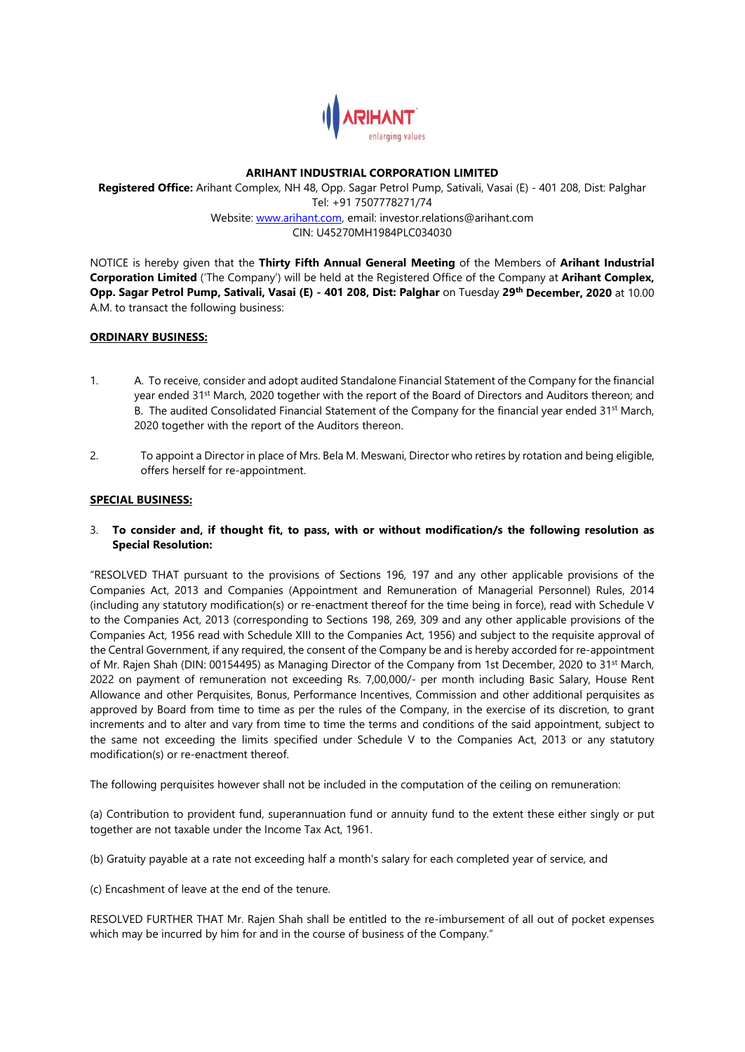

#### **ARIHANT INDUSTRIAL CORPORATION LIMITED**

**Registered Office:** Arihant Complex, NH 48, Opp. Sagar Petrol Pump, Sativali, Vasai (E) - 401 208, Dist: Palghar Tel: +91 7507778271/74 Website: [www.arihant.com,](http://www.arihant.com/) email: investor.relations@arihant.com CIN: U45270MH1984PLC034030

NOTICE is hereby given that the **Thirty Fifth Annual General Meeting** of the Members of **Arihant Industrial Corporation Limited** ('The Company') will be held at the Registered Office of the Company at **Arihant Complex, Opp. Sagar Petrol Pump, Sativali, Vasai (E) - 401 208, Dist: Palghar** on Tuesday **29th December, 2020** at 10.00 A.M. to transact the following business:

## **ORDINARY BUSINESS:**

- 1. A. To receive, consider and adopt audited Standalone Financial Statement of the Company for the financial year ended 31st March, 2020 together with the report of the Board of Directors and Auditors thereon; and B. The audited Consolidated Financial Statement of the Company for the financial year ended 31<sup>st</sup> March, 2020 together with the report of the Auditors thereon.
- 2. To appoint a Director in place of Mrs. Bela M. Meswani, Director who retires by rotation and being eligible, offers herself for re-appointment.

## **SPECIAL BUSINESS:**

3. **To consider and, if thought fit, to pass, with or without modification/s the following resolution as Special Resolution:**

"RESOLVED THAT pursuant to the provisions of Sections 196, 197 and any other applicable provisions of the Companies Act, 2013 and Companies (Appointment and Remuneration of Managerial Personnel) Rules, 2014 (including any statutory modification(s) or re-enactment thereof for the time being in force), read with Schedule V to the Companies Act, 2013 (corresponding to Sections 198, 269, 309 and any other applicable provisions of the Companies Act, 1956 read with Schedule XIII to the Companies Act, 1956) and subject to the requisite approval of the Central Government, if any required, the consent of the Company be and is hereby accorded for re-appointment of Mr. Rajen Shah (DIN: 00154495) as Managing Director of the Company from 1st December, 2020 to 31st March, 2022 on payment of remuneration not exceeding Rs. 7,00,000/- per month including Basic Salary, House Rent Allowance and other Perquisites, Bonus, Performance Incentives, Commission and other additional perquisites as approved by Board from time to time as per the rules of the Company, in the exercise of its discretion, to grant increments and to alter and vary from time to time the terms and conditions of the said appointment, subject to the same not exceeding the limits specified under Schedule V to the Companies Act, 2013 or any statutory modification(s) or re-enactment thereof.

The following perquisites however shall not be included in the computation of the ceiling on remuneration:

(a) Contribution to provident fund, superannuation fund or annuity fund to the extent these either singly or put together are not taxable under the Income Tax Act, 1961.

(b) Gratuity payable at a rate not exceeding half a month's salary for each completed year of service, and

(c) Encashment of leave at the end of the tenure.

RESOLVED FURTHER THAT Mr. Rajen Shah shall be entitled to the re-imbursement of all out of pocket expenses which may be incurred by him for and in the course of business of the Company."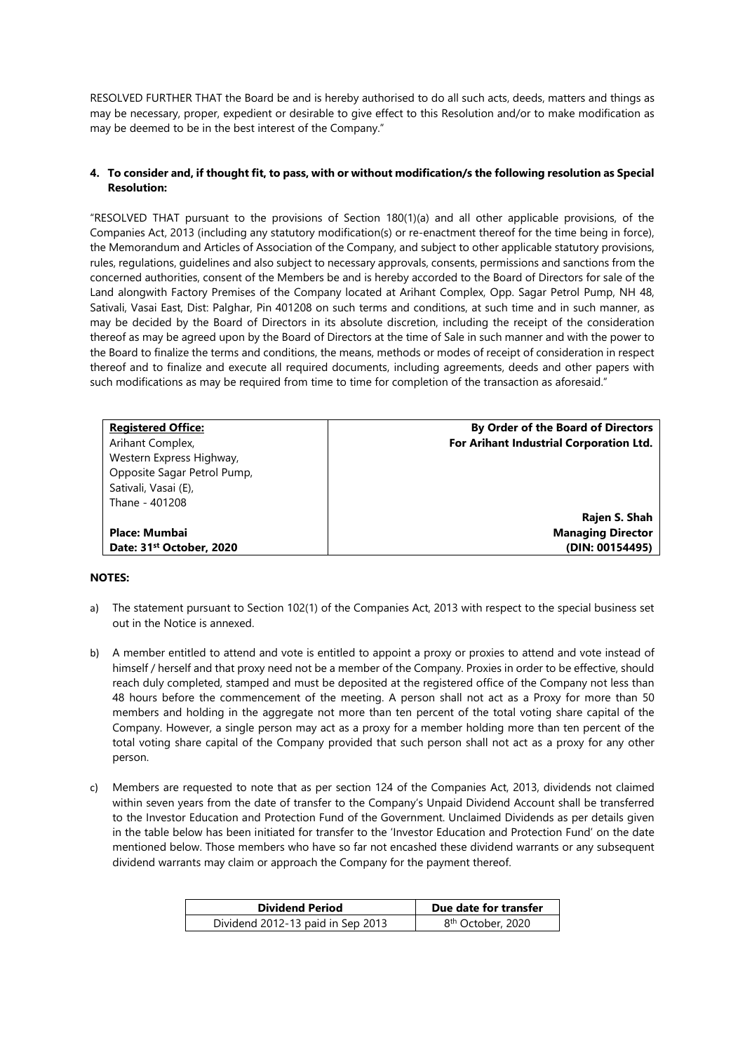RESOLVED FURTHER THAT the Board be and is hereby authorised to do all such acts, deeds, matters and things as may be necessary, proper, expedient or desirable to give effect to this Resolution and/or to make modification as may be deemed to be in the best interest of the Company."

### **4. To consider and, if thought fit, to pass, with or without modification/s the following resolution as Special Resolution:**

"RESOLVED THAT pursuant to the provisions of Section 180(1)(a) and all other applicable provisions, of the Companies Act, 2013 (including any statutory modification(s) or re-enactment thereof for the time being in force), the Memorandum and Articles of Association of the Company, and subject to other applicable statutory provisions, rules, regulations, guidelines and also subject to necessary approvals, consents, permissions and sanctions from the concerned authorities, consent of the Members be and is hereby accorded to the Board of Directors for sale of the Land alongwith Factory Premises of the Company located at Arihant Complex, Opp. Sagar Petrol Pump, NH 48, Sativali, Vasai East, Dist: Palghar, Pin 401208 on such terms and conditions, at such time and in such manner, as may be decided by the Board of Directors in its absolute discretion, including the receipt of the consideration thereof as may be agreed upon by the Board of Directors at the time of Sale in such manner and with the power to the Board to finalize the terms and conditions, the means, methods or modes of receipt of consideration in respect thereof and to finalize and execute all required documents, including agreements, deeds and other papers with such modifications as may be required from time to time for completion of the transaction as aforesaid."

| <b>Registered Office:</b>            | By Order of the Board of Directors      |
|--------------------------------------|-----------------------------------------|
| Arihant Complex,                     | For Arihant Industrial Corporation Ltd. |
| Western Express Highway,             |                                         |
| Opposite Sagar Petrol Pump,          |                                         |
| Sativali, Vasai (E),                 |                                         |
| Thane - 401208                       |                                         |
|                                      | Rajen S. Shah                           |
| Place: Mumbai                        | <b>Managing Director</b>                |
| Date: 31 <sup>st</sup> October, 2020 | (DIN: 00154495)                         |

## **NOTES:**

- a) The statement pursuant to Section 102(1) of the Companies Act, 2013 with respect to the special business set out in the Notice is annexed.
- b) A member entitled to attend and vote is entitled to appoint a proxy or proxies to attend and vote instead of himself / herself and that proxy need not be a member of the Company. Proxies in order to be effective, should reach duly completed, stamped and must be deposited at the registered office of the Company not less than 48 hours before the commencement of the meeting. A person shall not act as a Proxy for more than 50 members and holding in the aggregate not more than ten percent of the total voting share capital of the Company. However, a single person may act as a proxy for a member holding more than ten percent of the total voting share capital of the Company provided that such person shall not act as a proxy for any other person.
- c) Members are requested to note that as per section 124 of the Companies Act, 2013, dividends not claimed within seven years from the date of transfer to the Company's Unpaid Dividend Account shall be transferred to the Investor Education and Protection Fund of the Government. Unclaimed Dividends as per details given in the table below has been initiated for transfer to the 'Investor Education and Protection Fund' on the date mentioned below. Those members who have so far not encashed these dividend warrants or any subsequent dividend warrants may claim or approach the Company for the payment thereof.

| <b>Dividend Period</b>            | Due date for transfer         |
|-----------------------------------|-------------------------------|
| Dividend 2012-13 paid in Sep 2013 | 8 <sup>th</sup> October, 2020 |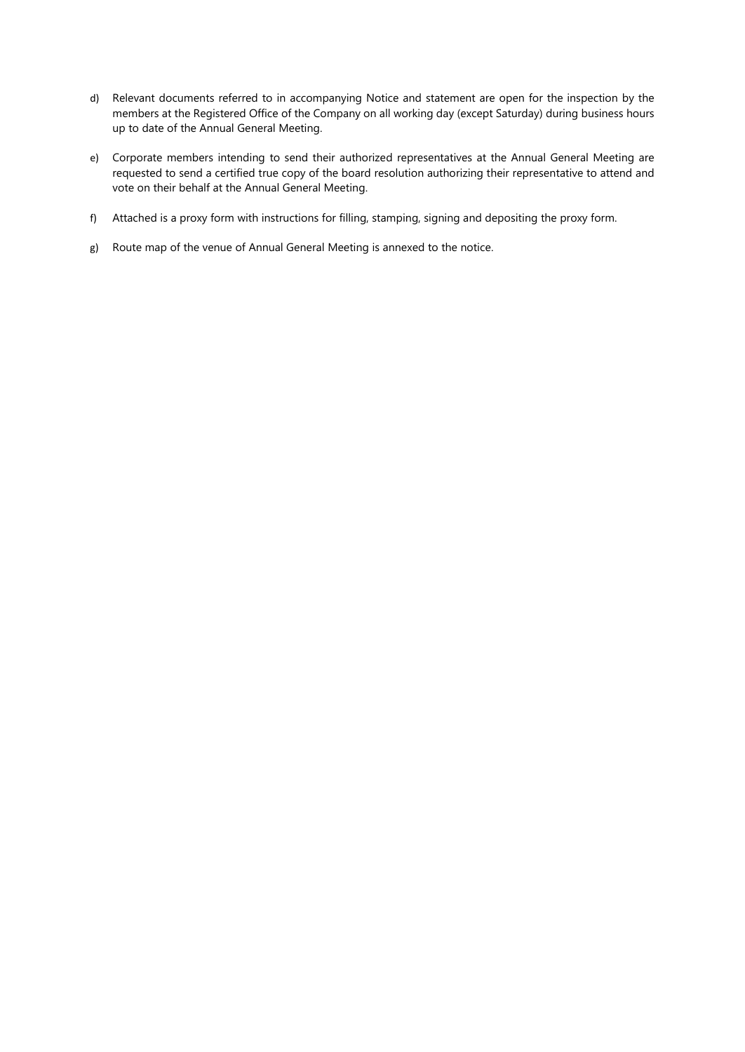- d) Relevant documents referred to in accompanying Notice and statement are open for the inspection by the members at the Registered Office of the Company on all working day (except Saturday) during business hours up to date of the Annual General Meeting.
- e) Corporate members intending to send their authorized representatives at the Annual General Meeting are requested to send a certified true copy of the board resolution authorizing their representative to attend and vote on their behalf at the Annual General Meeting.
- f) Attached is a proxy form with instructions for filling, stamping, signing and depositing the proxy form.
- g) Route map of the venue of Annual General Meeting is annexed to the notice.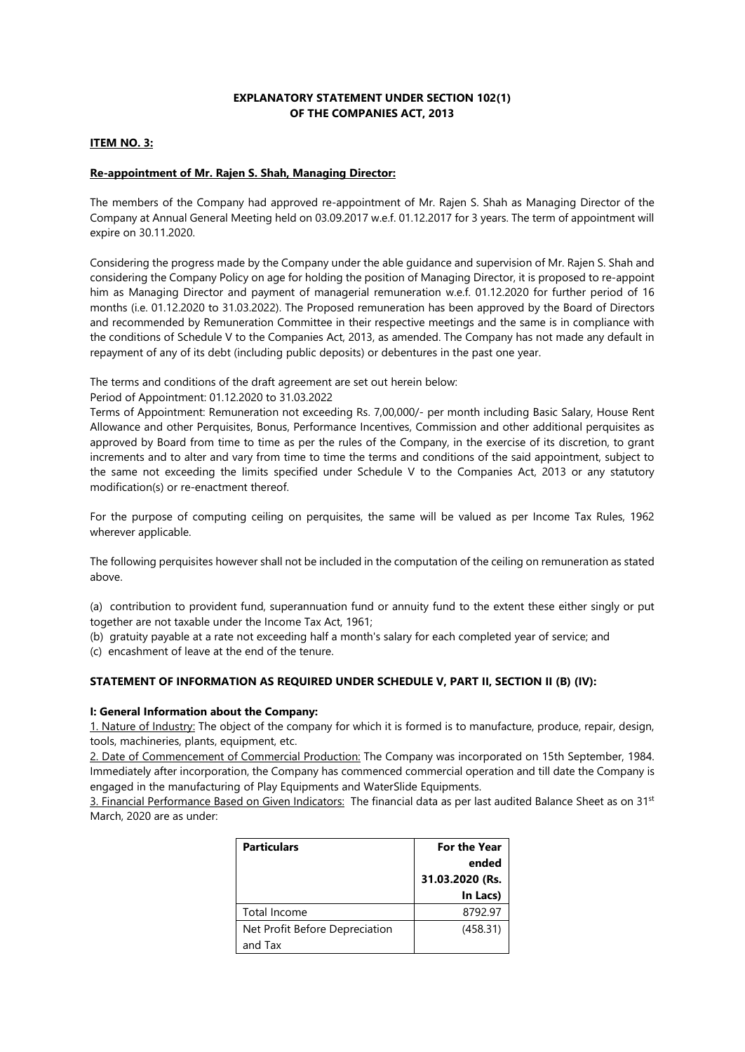## **EXPLANATORY STATEMENT UNDER SECTION 102(1) OF THE COMPANIES ACT, 2013**

### **ITEM NO. 3:**

# **Re-appointment of Mr. Rajen S. Shah, Managing Director:**

The members of the Company had approved re-appointment of Mr. Rajen S. Shah as Managing Director of the Company at Annual General Meeting held on 03.09.2017 w.e.f. 01.12.2017 for 3 years. The term of appointment will expire on 30.11.2020.

Considering the progress made by the Company under the able guidance and supervision of Mr. Rajen S. Shah and considering the Company Policy on age for holding the position of Managing Director, it is proposed to re-appoint him as Managing Director and payment of managerial remuneration w.e.f. 01.12.2020 for further period of 16 months (i.e. 01.12.2020 to 31.03.2022). The Proposed remuneration has been approved by the Board of Directors and recommended by Remuneration Committee in their respective meetings and the same is in compliance with the conditions of Schedule V to the Companies Act, 2013, as amended. The Company has not made any default in repayment of any of its debt (including public deposits) or debentures in the past one year.

The terms and conditions of the draft agreement are set out herein below:

### Period of Appointment: 01.12.2020 to 31.03.2022

Terms of Appointment: Remuneration not exceeding Rs. 7,00,000/- per month including Basic Salary, House Rent Allowance and other Perquisites, Bonus, Performance Incentives, Commission and other additional perquisites as approved by Board from time to time as per the rules of the Company, in the exercise of its discretion, to grant increments and to alter and vary from time to time the terms and conditions of the said appointment, subject to the same not exceeding the limits specified under Schedule V to the Companies Act, 2013 or any statutory modification(s) or re-enactment thereof.

For the purpose of computing ceiling on perquisites, the same will be valued as per Income Tax Rules, 1962 wherever applicable.

The following perquisites however shall not be included in the computation of the ceiling on remuneration as stated above.

(a) contribution to provident fund, superannuation fund or annuity fund to the extent these either singly or put together are not taxable under the Income Tax Act, 1961;

(b) gratuity payable at a rate not exceeding half a month's salary for each completed year of service; and

(c) encashment of leave at the end of the tenure.

## **STATEMENT OF INFORMATION AS REQUIRED UNDER SCHEDULE V, PART II, SECTION II (B) (IV):**

#### **I: General Information about the Company:**

1. Nature of Industry: The object of the company for which it is formed is to manufacture, produce, repair, design, tools, machineries, plants, equipment, etc.

2. Date of Commencement of Commercial Production: The Company was incorporated on 15th September, 1984. Immediately after incorporation, the Company has commenced commercial operation and till date the Company is engaged in the manufacturing of Play Equipments and WaterSlide Equipments.

3. Financial Performance Based on Given Indicators: The financial data as per last audited Balance Sheet as on 31st March, 2020 are as under:

| <b>Particulars</b>             | <b>For the Year</b> |
|--------------------------------|---------------------|
|                                | ended               |
|                                | 31.03.2020 (Rs.     |
|                                | In Lacs)            |
| Total Income                   | 8792.97             |
| Net Profit Before Depreciation | (458.31)            |
| and Tax                        |                     |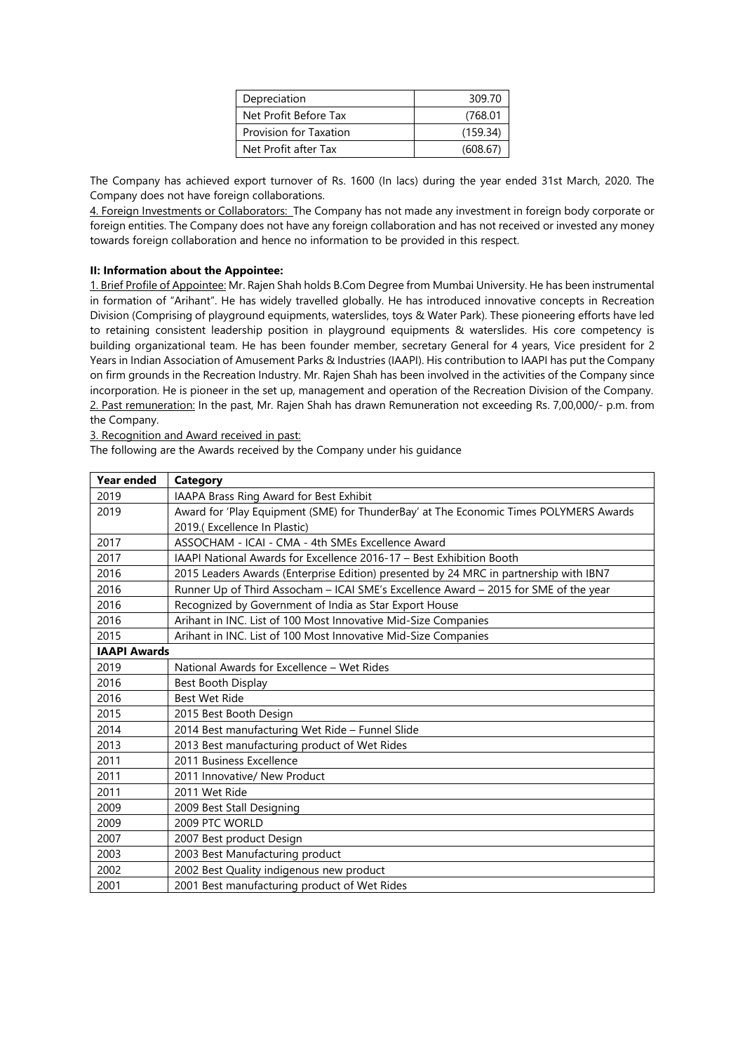| Depreciation           | 309.70   |
|------------------------|----------|
| Net Profit Before Tax  | (768.01) |
| Provision for Taxation | (159.34) |
| Net Profit after Tax   | (608.67) |

The Company has achieved export turnover of Rs. 1600 (In lacs) during the year ended 31st March, 2020. The Company does not have foreign collaborations.

4. Foreign Investments or Collaborators: The Company has not made any investment in foreign body corporate or foreign entities. The Company does not have any foreign collaboration and has not received or invested any money towards foreign collaboration and hence no information to be provided in this respect.

## **II: Information about the Appointee:**

1. Brief Profile of Appointee: Mr. Rajen Shah holds B.Com Degree from Mumbai University. He has been instrumental in formation of "Arihant". He has widely travelled globally. He has introduced innovative concepts in Recreation Division (Comprising of playground equipments, waterslides, toys & Water Park). These pioneering efforts have led to retaining consistent leadership position in playground equipments & waterslides. His core competency is building organizational team. He has been founder member, secretary General for 4 years, Vice president for 2 Years in Indian Association of Amusement Parks & Industries (IAAPI). His contribution to IAAPI has put the Company on firm grounds in the Recreation Industry. Mr. Rajen Shah has been involved in the activities of the Company since incorporation. He is pioneer in the set up, management and operation of the Recreation Division of the Company. 2. Past remuneration: In the past, Mr. Rajen Shah has drawn Remuneration not exceeding Rs. 7,00,000/- p.m. from the Company.

3. Recognition and Award received in past:

The following are the Awards received by the Company under his guidance

| <b>Year ended</b>   | Category                                                                              |
|---------------------|---------------------------------------------------------------------------------------|
| 2019                | IAAPA Brass Ring Award for Best Exhibit                                               |
| 2019                | Award for 'Play Equipment (SME) for ThunderBay' at The Economic Times POLYMERS Awards |
|                     | 2019.(Excellence In Plastic)                                                          |
| 2017                | ASSOCHAM - ICAI - CMA - 4th SMEs Excellence Award                                     |
| 2017                | IAAPI National Awards for Excellence 2016-17 - Best Exhibition Booth                  |
| 2016                | 2015 Leaders Awards (Enterprise Edition) presented by 24 MRC in partnership with IBN7 |
| 2016                | Runner Up of Third Assocham - ICAI SME's Excellence Award - 2015 for SME of the year  |
| 2016                | Recognized by Government of India as Star Export House                                |
| 2016                | Arihant in INC. List of 100 Most Innovative Mid-Size Companies                        |
| 2015                | Arihant in INC. List of 100 Most Innovative Mid-Size Companies                        |
| <b>IAAPI Awards</b> |                                                                                       |
| 2019                | National Awards for Excellence - Wet Rides                                            |
| 2016                | Best Booth Display                                                                    |
| 2016                | <b>Best Wet Ride</b>                                                                  |
| 2015                | 2015 Best Booth Design                                                                |
| 2014                | 2014 Best manufacturing Wet Ride - Funnel Slide                                       |
| 2013                | 2013 Best manufacturing product of Wet Rides                                          |
| 2011                | 2011 Business Excellence                                                              |
| 2011                | 2011 Innovative/ New Product                                                          |
| 2011                | 2011 Wet Ride                                                                         |
| 2009                | 2009 Best Stall Designing                                                             |
| 2009                | 2009 PTC WORLD                                                                        |
| 2007                | 2007 Best product Design                                                              |
| 2003                | 2003 Best Manufacturing product                                                       |
| 2002                | 2002 Best Quality indigenous new product                                              |
| 2001                | 2001 Best manufacturing product of Wet Rides                                          |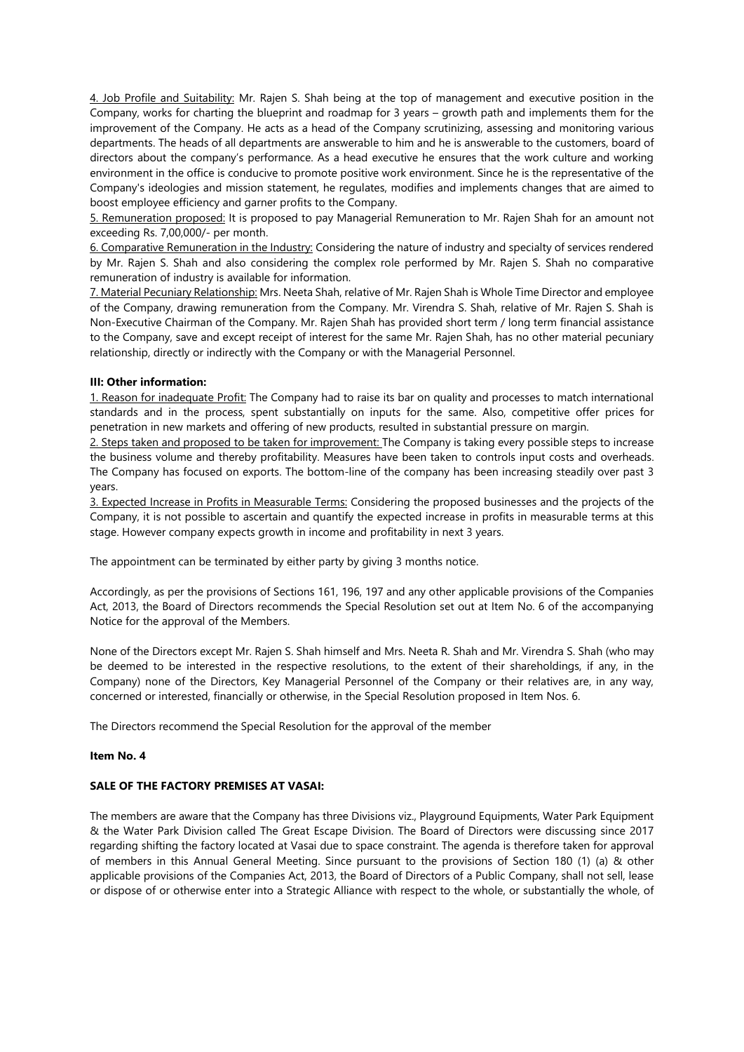4. Job Profile and Suitability: Mr. Rajen S. Shah being at the top of management and executive position in the Company, works for charting the blueprint and roadmap for 3 years – growth path and implements them for the improvement of the Company. He acts as a head of the Company scrutinizing, assessing and monitoring various departments. The heads of all departments are answerable to him and he is answerable to the customers, board of directors about the company's performance. As a head executive he ensures that the work culture and working environment in the office is conducive to promote positive work environment. Since he is the representative of the Company's ideologies and mission statement, he regulates, modifies and implements changes that are aimed to boost employee efficiency and garner profits to the Company.

5. Remuneration proposed: It is proposed to pay Managerial Remuneration to Mr. Rajen Shah for an amount not exceeding Rs. 7,00,000/- per month.

6. Comparative Remuneration in the Industry: Considering the nature of industry and specialty of services rendered by Mr. Rajen S. Shah and also considering the complex role performed by Mr. Rajen S. Shah no comparative remuneration of industry is available for information.

7. Material Pecuniary Relationship: Mrs. Neeta Shah, relative of Mr. Rajen Shah is Whole Time Director and employee of the Company, drawing remuneration from the Company. Mr. Virendra S. Shah, relative of Mr. Rajen S. Shah is Non-Executive Chairman of the Company. Mr. Rajen Shah has provided short term / long term financial assistance to the Company, save and except receipt of interest for the same Mr. Rajen Shah, has no other material pecuniary relationship, directly or indirectly with the Company or with the Managerial Personnel.

## **III: Other information:**

1. Reason for inadequate Profit: The Company had to raise its bar on quality and processes to match international standards and in the process, spent substantially on inputs for the same. Also, competitive offer prices for penetration in new markets and offering of new products, resulted in substantial pressure on margin.

2. Steps taken and proposed to be taken for improvement: The Company is taking every possible steps to increase the business volume and thereby profitability. Measures have been taken to controls input costs and overheads. The Company has focused on exports. The bottom-line of the company has been increasing steadily over past 3 years.

3. Expected Increase in Profits in Measurable Terms: Considering the proposed businesses and the projects of the Company, it is not possible to ascertain and quantify the expected increase in profits in measurable terms at this stage. However company expects growth in income and profitability in next 3 years.

The appointment can be terminated by either party by giving 3 months notice.

Accordingly, as per the provisions of Sections 161, 196, 197 and any other applicable provisions of the Companies Act, 2013, the Board of Directors recommends the Special Resolution set out at Item No. 6 of the accompanying Notice for the approval of the Members.

None of the Directors except Mr. Rajen S. Shah himself and Mrs. Neeta R. Shah and Mr. Virendra S. Shah (who may be deemed to be interested in the respective resolutions, to the extent of their shareholdings, if any, in the Company) none of the Directors, Key Managerial Personnel of the Company or their relatives are, in any way, concerned or interested, financially or otherwise, in the Special Resolution proposed in Item Nos. 6.

The Directors recommend the Special Resolution for the approval of the member

## **Item No. 4**

### **SALE OF THE FACTORY PREMISES AT VASAI:**

The members are aware that the Company has three Divisions viz., Playground Equipments, Water Park Equipment & the Water Park Division called The Great Escape Division. The Board of Directors were discussing since 2017 regarding shifting the factory located at Vasai due to space constraint. The agenda is therefore taken for approval of members in this Annual General Meeting. Since pursuant to the provisions of Section 180 (1) (a) & other applicable provisions of the Companies Act, 2013, the Board of Directors of a Public Company, shall not sell, lease or dispose of or otherwise enter into a Strategic Alliance with respect to the whole, or substantially the whole, of